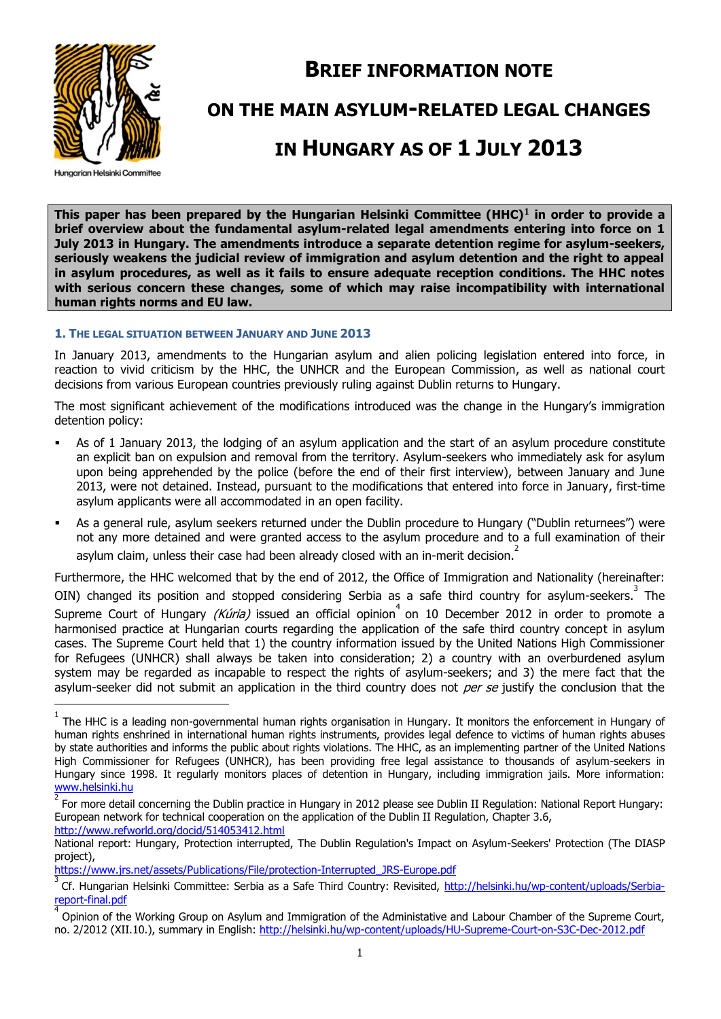

## **BRIEF INFORMATION NOTE**

## **ON THE MAIN ASYLUM-RELATED LEGAL CHANGES**

# **IN HUNGARY AS OF 1 JULY 2013**

**Hungarian Helsinki Committee** 

**This paper has been prepared by the Hungarian Helsinki Committee (HHC)1 in order to provide a brief overview about the fundamental asylum-related legal amendments entering into force on 1 July 2013 in Hungary. The amendments introduce a separate detention regime for asylum-seekers, seriously weakens the judicial review of immigration and asylum detention and the right to appeal in asylum procedures, as well as it fails to ensure adequate reception conditions. The HHC notes with serious concern these changes, some of which may raise incompatibility with international human rights norms and EU law.**

#### **1. THE LEGAL SITUATION BETWEEN JANUARY AND JUNE 2013**

In January 2013, amendments to the Hungarian asylum and alien policing legislation entered into force, in reaction to vivid criticism by the HHC, the UNHCR and the European Commission, as well as national court decisions from various European countries previously ruling against Dublin returns to Hungary.

The most significant achievement of the modifications introduced was the change in the Hungary's immigration detention policy:

- As of 1 January 2013, the lodging of an asylum application and the start of an asylum procedure constitute an explicit ban on expulsion and removal from the territory. Asylum-seekers who immediately ask for asylum upon being apprehended by the police (before the end of their first interview), between January and June 2013, were not detained. Instead, pursuant to the modifications that entered into force in January, first-time asylum applicants were all accommodated in an open facility.
- As a general rule, asylum seekers returned under the Dublin procedure to Hungary ("Dublin returnees") were not any more detained and were granted access to the asylum procedure and to a full examination of their asylum claim, unless their case had been already closed with an in-merit decision.<sup>2</sup>

Furthermore, the HHC welcomed that by the end of 2012, the Office of Immigration and Nationality (hereinafter:

OIN) changed its position and stopped considering Serbia as a safe third country for asylum-seekers.<sup>3</sup> The Supreme Court of Hungary (Kúria) issued an official opinion<sup>4</sup> on 10 December 2012 in order to promote a harmonised practice at Hungarian courts regarding the application of the safe third country concept in asylum cases. The Supreme Court held that 1) the country information issued by the United Nations High Commissioner for Refugees (UNHCR) shall always be taken into consideration; 2) a country with an overburdened asylum system may be regarded as incapable to respect the rights of asylum-seekers; and 3) the mere fact that the asylum-seeker did not submit an application in the third country does not *per se* justify the conclusion that the  $\overline{a}$ 

<sup>1</sup> The HHC is a leading non-governmental human rights organisation in Hungary. It monitors the enforcement in Hungary of human rights enshrined in international human rights instruments, provides legal defence to victims of human rights abuses by state authorities and informs the public about rights violations. The HHC, as an implementing partner of the United Nations High Commissioner for Refugees (UNHCR), has been providing free legal assistance to thousands of asylum-seekers in Hungary since 1998. It regularly monitors places of detention in Hungary, including immigration jails. More information: [www.helsinki.hu](http://www.helsinki.hu/)

<sup>2</sup> For more detail concerning the Dublin practice in Hungary in 2012 please see Dublin II Regulation: National Report Hungary: European network for technical cooperation on the application of the Dublin II Regulation, Chapter 3.6, <http://www.refworld.org/docid/514053412.html>

National report: Hungary, Protection interrupted, The Dublin Regulation's Impact on Asylum-Seekers' Protection (The DIASP project),

[https://www.jrs.net/assets/Publications/File/protection-Interrupted\\_JRS-Europe.pdf](https://www.jrs.net/assets/Publications/File/protection-Interrupted_JRS-Europe.pdf)

<sup>3</sup> Cf. Hungarian Helsinki Committee: Serbia as a Safe Third Country: Revisited, [http://helsinki.hu/wp-content/uploads/Serbia](http://helsinki.hu/wp-content/uploads/Serbia-report-final.pdf)[report-final.pdf](http://helsinki.hu/wp-content/uploads/Serbia-report-final.pdf)

<sup>4</sup> Opinion of the Working Group on Asylum and Immigration of the Administative and Labour Chamber of the Supreme Court, no. 2/2012 (XII.10.), summary in English: http://helsinki.hu/wp-content/uploads/HU-Supreme-Court-on-S3C-Dec-2012.pdf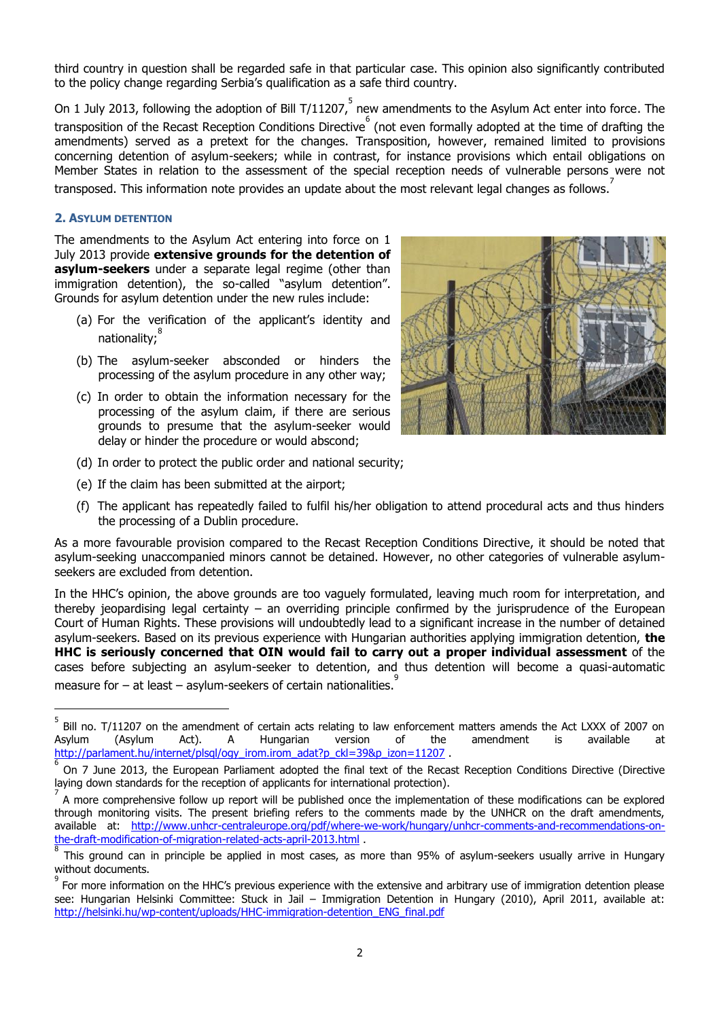third country in question shall be regarded safe in that particular case. This opinion also significantly contributed to the policy change regarding Serbia's qualification as a safe third country.

On 1 July 2013, following the adoption of Bill T/11207, new amendments to the Asylum Act enter into force. The transposition of the Recast Reception Conditions Directive  $\degree$  (not even formally adopted at the time of drafting the amendments) served as a pretext for the changes. Transposition, however, remained limited to provisions concerning detention of asylum-seekers; while in contrast, for instance provisions which entail obligations on Member States in relation to the assessment of the special reception needs of vulnerable persons were not transposed. This information note provides an update about the most relevant legal changes as follows.<sup>7</sup>

#### **2. ASYLUM DETENTION**

 $\overline{a}$ 

The amendments to the Asylum Act entering into force on 1 July 2013 provide **extensive grounds for the detention of asylum-seekers** under a separate legal regime (other than immigration detention), the so-called "asylum detention". Grounds for asylum detention under the new rules include:

- (a) For the verification of the applicant's identity and nationality;
- (b) The asylum-seeker absconded or hinders the processing of the asylum procedure in any other way;
- (c) In order to obtain the information necessary for the processing of the asylum claim, if there are serious grounds to presume that the asylum-seeker would delay or hinder the procedure or would abscond;



- (d) In order to protect the public order and national security;
- (e) If the claim has been submitted at the airport;
- (f) The applicant has repeatedly failed to fulfil his/her obligation to attend procedural acts and thus hinders the processing of a Dublin procedure.

As a more favourable provision compared to the Recast Reception Conditions Directive, it should be noted that asylum-seeking unaccompanied minors cannot be detained. However, no other categories of vulnerable asylumseekers are excluded from detention.

In the HHC's opinion, the above grounds are too vaguely formulated, leaving much room for interpretation, and thereby jeopardising legal certainty – an overriding principle confirmed by the jurisprudence of the European Court of Human Rights. These provisions will undoubtedly lead to a significant increase in the number of detained asylum-seekers. Based on its previous experience with Hungarian authorities applying immigration detention, **the HHC is seriously concerned that OIN would fail to carry out a proper individual assessment** of the cases before subjecting an asylum-seeker to detention, and thus detention will become a quasi-automatic measure for  $-$  at least  $-$  asylum-seekers of certain nationalities.  $\overset{\circ}{ }$ 

<sup>5</sup> Bill no. T/11207 on the amendment of certain acts relating to law enforcement matters amends the Act LXXX of 2007 on Asylum (Asylum Act). A Hungarian version of the amendment is available at [http://parlament.hu/internet/plsql/ogy\\_irom.irom\\_adat?p\\_ckl=39&p\\_izon=11207](http://parlament.hu/internet/plsql/ogy_irom.irom_adat?p_ckl=39&p_izon=11207) .

<sup>6</sup> On 7 June 2013, the European Parliament adopted the final text of the Recast Reception Conditions Directive (Directive laying down standards for the reception of applicants for international protection).

<sup>7</sup> A more comprehensive follow up report will be published once the implementation of these modifications can be explored through monitoring visits. The present briefing refers to the comments made by the UNHCR on the draft amendments, available at: [http://www.unhcr-centraleurope.org/pdf/where-we-work/hungary/unhcr-comments-and-recommendations-on](http://www.unhcr-centraleurope.org/pdf/where-we-work/hungary/unhcr-comments-and-recommendations-on-the-draft-modification-of-migration-related-acts-april-2013.html)[the-draft-modification-of-migration-related-acts-april-2013.html](http://www.unhcr-centraleurope.org/pdf/where-we-work/hungary/unhcr-comments-and-recommendations-on-the-draft-modification-of-migration-related-acts-april-2013.html) .

<sup>8</sup> This ground can in principle be applied in most cases, as more than 95% of asylum-seekers usually arrive in Hungary without documents.

<sup>9</sup> For more information on the HHC's previous experience with the extensive and arbitrary use of immigration detention please see: Hungarian Helsinki Committee: Stuck in Jail – Immigration Detention in Hungary (2010), April 2011, available at: http://helsinki.hu/wp-content/uploads/HHC-immigration-detention\_ENG\_final.pdf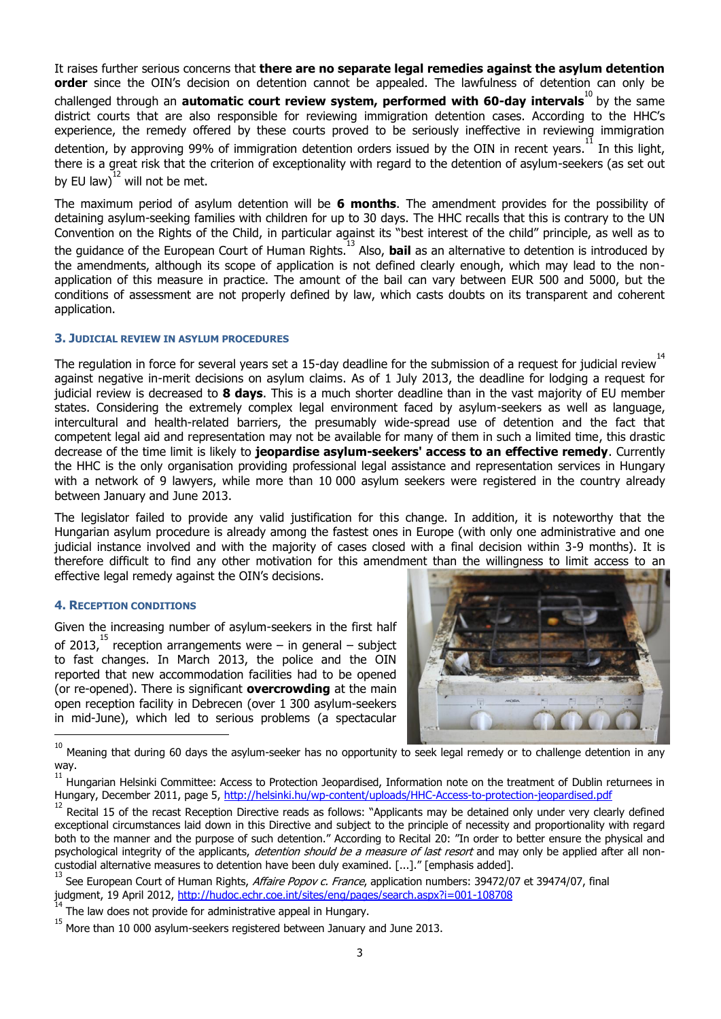It raises further serious concerns that **there are no separate legal remedies against the asylum detention order** since the OIN's decision on detention cannot be appealed. The lawfulness of detention can only be challenged through an **automatic court review system, performed with 60-day intervals**<sup>10</sup> by the same district courts that are also responsible for reviewing immigration detention cases. According to the HHC's experience, the remedy offered by these courts proved to be seriously ineffective in reviewing immigration detention, by approving 99% of immigration detention orders issued by the OIN in recent years.<sup>11</sup> In this light, there is a great risk that the criterion of exceptionality with regard to the detention of asylum-seekers (as set out by EU law) $^{12}$  will not be met.

The maximum period of asylum detention will be **6 months**. The amendment provides for the possibility of detaining asylum-seeking families with children for up to 30 days. The HHC recalls that this is contrary to the UN Convention on the Rights of the Child, in particular against its "best interest of the child" principle, as well as to the guidance of the European Court of Human Rights. <sup>13</sup> Also, **bail** as an alternative to detention is introduced by the amendments, although its scope of application is not defined clearly enough, which may lead to the nonapplication of this measure in practice. The amount of the bail can vary between EUR 500 and 5000, but the conditions of assessment are not properly defined by law, which casts doubts on its transparent and coherent application.

#### **3. JUDICIAL REVIEW IN ASYLUM PROCEDURES**

The regulation in force for several years set a 15-day deadline for the submission of a request for judicial review<sup>14</sup> against negative in-merit decisions on asylum claims. As of 1 July 2013, the deadline for lodging a request for judicial review is decreased to **8 days**. This is a much shorter deadline than in the vast majority of EU member states. Considering the extremely complex legal environment faced by asylum-seekers as well as language, intercultural and health-related barriers, the presumably wide-spread use of detention and the fact that competent legal aid and representation may not be available for many of them in such a limited time, this drastic decrease of the time limit is likely to **jeopardise asylum-seekers' access to an effective remedy**. Currently the HHC is the only organisation providing professional legal assistance and representation services in Hungary with a network of 9 lawyers, while more than 10 000 asylum seekers were registered in the country already between January and June 2013.

The legislator failed to provide any valid justification for this change. In addition, it is noteworthy that the Hungarian asylum procedure is already among the fastest ones in Europe (with only one administrative and one judicial instance involved and with the majority of cases closed with a final decision within 3-9 months). It is therefore difficult to find any other motivation for this amendment than the willingness to limit access to an effective legal remedy against the OIN's decisions.

### **4. RECEPTION CONDITIONS**

Given the increasing number of asylum-seekers in the first half of 2013, $^{15}$  reception arrangements were – in general – subject to fast changes. In March 2013, the police and the OIN reported that new accommodation facilities had to be opened (or re-opened). There is significant **overcrowding** at the main open reception facility in Debrecen (over 1 300 asylum-seekers in mid-June), which led to serious problems (a spectacular



 $\frac{1}{10}$ Meaning that during 60 days the asylum-seeker has no opportunity to seek legal remedy or to challenge detention in any way. 11

Hungarian Helsinki Committee: Access to Protection Jeopardised, Information note on the treatment of Dublin returnees in Hungary, December 2011, page 5, <http://helsinki.hu/wp-content/uploads/HHC-Access-to-protection-jeopardised.pdf>

<sup>12</sup> Recital 15 of the recast Reception Directive reads as follows: "Applicants may be detained only under very clearly defined exceptional circumstances laid down in this Directive and subject to the principle of necessity and proportionality with regard both to the manner and the purpose of such detention." According to Recital 20: "In order to better ensure the physical and psychological integrity of the applicants, detention should be a measure of last resort and may only be applied after all noncustodial alternative measures to detention have been duly examined. [...]." [emphasis added].

<sup>13</sup> See European Court of Human Rights, Affaire Popov c. France, application numbers: 39472/07 et 39474/07, final judgment, 19 April 2012,<http://hudoc.echr.coe.int/sites/eng/pages/search.aspx?i=001-108708>

<sup>14</sup> The law does not provide for administrative appeal in Hungary. 15

More than 10 000 asylum-seekers registered between January and June 2013.